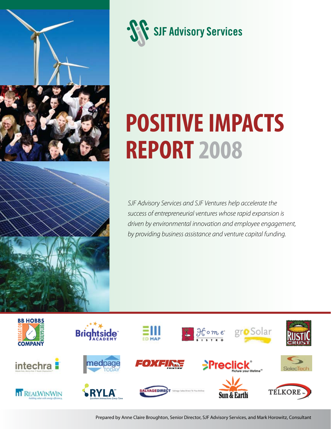



# **Positive Impacts Report 2008**

*SJF Advisory Services and SJF Ventures help accelerate the success of entrepreneurial ventures whose rapid expansion is driven by environmental innovation and employee engagement, by providing business assistance and venture capital funding.*



Prepared by Anne Claire Broughton, Senior Director, SJF Advisory Services, and Mark Horowitz, Consultant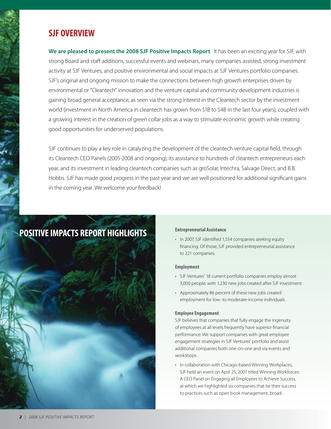## **SJF Overview**

**We are pleased to present the 2008 SJF Positive Impacts Report**. It has been an exciting year for SJF, with strong Board and staff additions, successful events and webinars, many companies assisted, strong investment activity at SJF Ventures, and positive environmental and social impacts at SJF Ventures portfolio companies. SJF's original and ongoing mission to make the connections between high growth enterprises driven by environmental or "Cleantech" innovation and the venture capital and community development industries is gaining broad general acceptance, as seen via the strong interest in the Cleantech sector by the investment world (investment in North America in cleantech has grown from \$1B to \$4B in the last four years), coupled with a growing interest in the creation of green collar jobs as a way to stimulate economic growth while creating good opportunities for underserved populations.

SJF continues to play a key role in catalyzing the development of the cleantech venture capital field, through its Cleantech CEO Panels (2005-2008 and ongoing), its assistance to hundreds of cleantech entrepreneurs each year, and its investment in leading cleantech companies such as groSolar, Intechra, Salvage Direct, and B.B. Hobbs. SJF has made good progress in the past year and we are well positioned for additional significant gains in the coming year. We welcome your feedback!

## **Positive ImpactS Report Highlights**



#### **Entrepreneurial Assistance**

• In 2007, SJF identified 1,554 companies seeking equity financing. Of those, SJF provided entrepreneurial assistance to 221 companies.

#### **Employment**

- SJF Ventures' 18 current portfolio companies employ almost 3,000 people, with 1,230 new jobs created after SJF investment.
- Approximately 86 percent of these new jobs created employment for low- to moderate-income individuals.

#### **Employee Engagement**

SJF believes that companies that fully engage the ingenuity of employees at all levels frequently have superior financial performance. We support companies with great employee engagement strategies in SJF Ventures' portfolio and assist additional companies both one-on-one and via events and workshops.

• In collaboration with Chicago-based Winning Workplaces, SJF held an event on April 25, 2007 titled Winning Workforces: A CEO Panel on Engaging all Employees to Achieve Success, at which we highlighted six companies that tie their success to practices such as open book management, broad-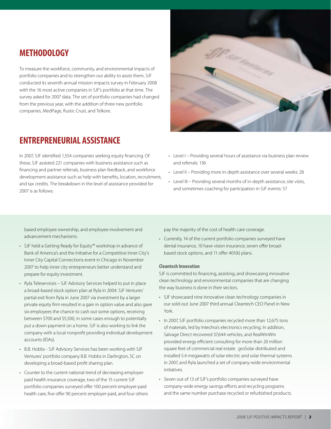## **Methodology**

To measure the workforce, community, and environmental impacts of portfolio companies and to strengthen our ability to assist them, SJF conducted its seventh annual mission impacts survey in February 2008 with the 16 most active companies in SJF's portfolio at that time. The survey asked for 2007 data. The set of portfolio companies had changed from the previous year, with the addition of three new portfolio companies, MedPage, Rustic Crust, and Telkore.

## **Entrepreneurial Assistance**

In 2007, SJF identified 1,554 companies seeking equity financing. Of these, SJF assisted 221 companies with business assistance such as financing and partner referrals, business plan feedback, and workforce development assistance such as help with benefits, location, recruitment, and tax credits. The breakdown in the level of assistance provided for 2007 is as follows:



- Level I Providing several hours of assistance via business plan review and referrals: 136
- Level II Providing more in-depth assistance over several weeks: 28
- Level III Providing several months of in-depth assistance, site visits, and sometimes coaching for participation in SJF events: 57

based employee ownership, and employee involvement and advancement mechanisms.

- • SJF held a Getting Ready for Equity™ workshop in advance of Bank of America's and the Initiative for a Competitive Inner City's Inner City Capital Connections event in Chicago in November 2007 to help inner city entrepreneurs better understand and prepare for equity investment.
- Ryla Teleservices SJF Advisory Services helped to put in place a broad-based stock option plan at Ryla in 2004. SJF Ventures' partial exit from Ryla in June 2007 via investment by a larger private equity firm resulted in a gain in option value and also gave six employees the chance to cash out some options, receiving between \$700 and \$5,500, in some cases enough to potentially put a down payment on a home. SJF is also working to link the company with a local nonprofit providing individual development accounts (IDAs).
- • B.B. Hobbs SJF Advisory Services has been working with SJF Ventures' portfolio company B.B. Hobbs in Darlington, SC on developing a broad-based profit sharing plan.
- Counter to the current national trend of decreasing employerpaid health insurance coverage, two of the 15 current SJF portfolio companies surveyed offer 100 percent employer-paid health care, five offer 90 percent employer-paid, and four others

pay the majority of the cost of health care coverage.

• Currently, 14 of the current portfolio companies surveyed have dental insurance, 10 have vision insurance, seven offer broadbased stock options, and 11 offer 401(k) plans.

#### **Cleantech Innovation**

SJF is committed to financing, assisting, and showcasing innovative clean technology and environmental companies that are changing the way business is done in their sectors.

- SJF showcased nine innovative clean technology companies in our sold-out June 2007 third annual Cleantech CEO Panel in New York.
- In 2007, SJF portfolio companies recycled more than 12,675 tons of materials, led by Intechra's electronics recycling. In addition, Salvage Direct recovered 37,644 vehicles, and RealWinWin provided energy efficient consulting for more than 20 million square feet of commercial real estate. groSolar distributed and installed 5.4 megawatts of solar electric and solar thermal systems in 2007, and Ryla launched a set of company-wide environmental initiatives.
- Seven out of 13 of SJF's portfolio companies surveyed have company-wide energy savings efforts and recycling programs and the same number purchase recycled or refurbished products.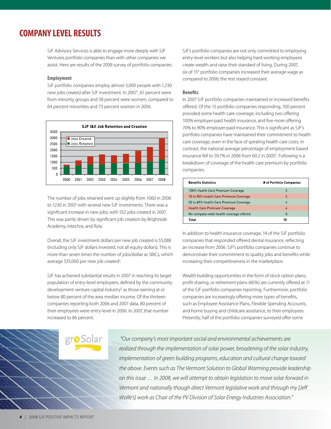## **Company Level Results**

SJF Advisory Services is able to engage more deeply with SJF Ventures portfolio companies than with other companies we assist. Here are results of the 2008 survey of portfolio companies.

#### **Employment**

SJF portfolio companies employ almost 3,000 people with 1,230 new jobs created after SJF investment. In 2007<sup>1</sup>, 61 percent were from minority groups and 58 percent were women, compared to 64 percent minorities and 73 percent women in 2006.



The number of jobs retained went up slightly from 1060 in 2006 to 1230 in 2007 with several new SJF investments. There was a significant increase in new jobs, with 552 jobs created in 2007. This was partly driven by significant job creation by Brightside Academy, Intechra, and Ryla.

Overall, the SJF investment dollars per new job created is \$5,088 (including only SJF dollars invested, not all equity dollars). This is more than seven times the number of jobs/dollar as SBICs, which average \$35,000 per new job created<sup>2</sup>. .

SJF has achieved substantial results in 2007 in reaching its target population of entry-level employees, defined by the community development venture capital industry<sup>3</sup> as those earning at or below 80 percent of the area median income. Of the thirteen companies reporting both 2006 and 2007 data, 80 percent of their employees were entry-level in 2006. In 2007, that number increased to 86 percent.

SJF's portfolio companies are not only committed to employing entry-level workers but also helping hard-working employees create wealth and raise their standard of living. During 2007, six of 154 portfolio companies increased their average wage as compared to 2006; the rest stayed constant.

#### **Benefits**

In 2007 SJF portfolio companies maintained or increased benefits offered. Of the 15 portfolio companies responding, 100 percent provided some health care coverage, including two offering 100% employer-paid health insurance, and five more offering 70% to 90% employer-paid insurance. This is significant as SJF's portfolio companies have maintained their commitment to health care coverage, even in the face of spiraling health care costs. In contrast, the national average percentage of employment-based insurance fell to 59.7% in 2006 from 60.2 in 2005<sup>5</sup>. Following is a breakdown of coverage of the health care premium by portfolio companies.

| <b>Benefits Statistics</b>              | # of Portfolio Companies |
|-----------------------------------------|--------------------------|
| 100% Health Care Premium Coverage       | $\mathcal{P}$            |
| 70 to 90% Health Care Premium Coverage  | 5                        |
| 50 to 69% Health Care Premium Coverage  | 4                        |
| <b>Health Care Premium Coverage</b>     | 4                        |
| No company-wide health coverage offered | 0                        |
| Total                                   | 15                       |

In addition to health insurance coverage, 14 of the SJF portfolio companies that responded offered dental insurance, reflecting an increase from 2006. SJF's portfolio companies continue to demonstrate their commitment to quality jobs and benefits while increasing their competitiveness in the marketplace.

Wealth building opportunities in the form of stock option plans, profit sharing, or retirement plans (401k) are currently offered at 11 of the SJF portfolio companies reporting. Furthermore, portfolio companies are increasingly offering more types of benefits, such as Employee Assistance Plans, Flexible Spending Accounts, and home buying and childcare assistance, to their employees. Presently, half of the portfolio companies surveyed offer some

*"Our company's most important social and environmental achievements are*  realized through the implementation of solar power, broadening of the solar industry, *implementation of green building programs, education and cultural change toward the above. Events such as The Vermont Solution to Global Warming provide leadership on this issue … In 2008, we will attempt to obtain legislation to move solar forward in Vermont and nationally though direct Vermont legislative work and through my [Jeff Wolfe's] work as Chair of the PV Division of Solar Energy Industries Association."*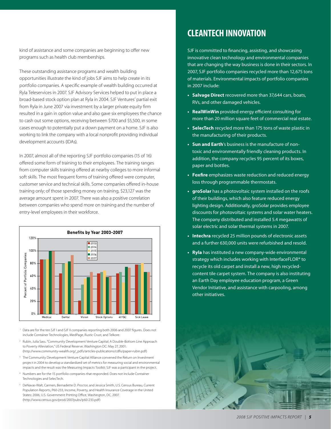kind of assistance and some companies are beginning to offer new programs such as health club memberships.

These outstanding assistance programs and wealth building opportunities illustrate the kind of jobs SJF aims to help create in its portfolio companies. A specific example of wealth building occurred at Ryla Teleservices in 2007. SJF Advisory Services helped to put in place a broad-based stock option plan at Ryla in 2004. SJF Ventures' partial exit from Ryla in June 2007 via investment by a larger private equity firm resulted in a gain in option value and also gave six employees the chance to cash out some options, receiving between \$700 and \$5,500, in some cases enough to potentially put a down payment on a home. SJF is also working to link the company with a local nonprofit providing individual development accounts (IDAs).

In 2007, almost all of the reporting SJF portfolio companies (15 of 16) offered some form of training to their employees. The training ranges from computer skills training offered at nearby colleges to more informal soft skills. The most frequent forms of training offered were computer, customer service and technical skills. Some companies offered in-house training only; of those spending money on training, \$23,127 was the average amount spent in 2007. There was also a positive correlation between companies who spend more on training and the number of entry-level employees in their workforce.



- <sup>1</sup> Data are for the ten SJF I and SJF II companies reporting both 2006 and 2007 figures. Does not include Container Technologies, MedPage, Rustic Crust, and Telkore.
- <sup>2</sup> Rubin, Julia Sass. "Community Development Venture Capital: A Double-Bottom Line Approach to Poverty Alleviation," US Federal Reserve. Washington DC: May 27, 2001. (http://www.community-wealth.org/\_pdfs/articles-publications/cdfis/paper-rubin.pdf)
- <sup>3</sup> The Community Development Venture Capital Alliance convened the Return on Investment project in 2004 to develop a standardized set of metrics for measuring social and environmental impacts and the result was the Measuring Impacts Toolkit; SJF was a participant in the project.
- <sup>4</sup> Numbers are for the 15 portfolio companies that responded. Does not include Container Technologies and SelecTech.
- <sup>5</sup> DeNavas-Walt, Carmen, Bernadette D. Proctor, and Jessica Smith, U.S. Census Bureau, Current Population Reports, P60-233, Income, Poverty, and Health Insurance Coverage in the United States: 2006, U.S. Government Printing Office, Washington, DC, 2007. (http://www.census.gov/prod/2007pubs/p60-233.pdf)

## **Cleantech Innovation**

SJF is committed to financing, assisting, and showcasing innovative clean technology and environmental companies that are changing the way business is done in their sectors. In 2007, SJF portfolio companies recycled more than 12,675 tons of materials. Environmental impacts of portfolio companies in 2007 include:

- **• Salvage Direct** recovered more than 37,644 cars, boats, RVs, and other damaged vehicles.
- **• RealWinWin** provided energy efficient consulting for more than 20 million square feet of commercial real estate.
- **• SelecTech** recycled more than 175 tons of waste plastic in the manufacturing of their products.
- **• Sun and Earth**'s business is the manufacture of nontoxic and environmentally friendly cleaning products. In addition, the company recycles 95 percent of its boxes, paper and bottles.
- **• Foxfire** emphasizes waste reduction and reduced energy loss through programmable thermostats.
- **groSolar** has a photovoltaic system installed on the roofs of their buildings, which also feature reduced energy lighting design. Additionally, groSolar provides employee discounts for photovoltaic systems and solar water heaters. The company distributed and installed 5.4 megawatts of solar electric and solar thermal systems in 2007.
- **• Intechra** recycled 25 million pounds of electronic assets and a further 630,000 units were refurbished and resold.
- **• Ryla** has instituted a new company-wide environmental strategy which includes working with InterfaceFLOR® to recycle its old carpet and install a new, high recycledcontent tile carpet system. The company is also instituting an Earth Day employee education program, a Green Vendor Initiative, and assistance with carpooling, among other initiatives.

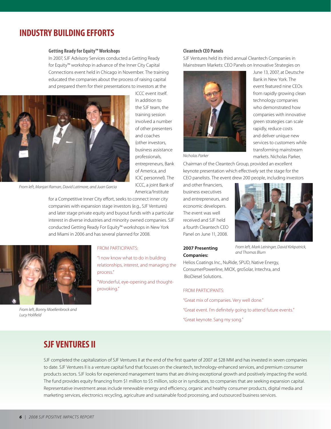## **Industry Building Efforts**

#### **Getting Ready for Equity™ Workshops**

In 2007, SJF Advisory Services conducted a Getting Ready for Equity™ workshop in advance of the Inner City Capital Connections event held in Chicago in November. The training educated the companies about the process of raising capital and prepared them for their presentations to investors at the

> ICCC event itself. In addition to the SJF team, the training session involved a number of other presenters and coaches (other investors, business assistance professionals, entrepreneurs, Bank of America, and ICIC personnel). The ICCC, a joint Bank of America/Institute



*From left, Manjari Raman, David Latimore, and Juan Garcia*

for a Competitive Inner City effort, seeks to connect inner city companies with expansion stage investors (e.g., SJF Ventures) and later stage private equity and buyout funds with a particular interest in diverse industries and minority owned companies. SJF conducted Getting Ready For Equity™ workshops in New York and Miami in 2006 and has several planned for 2008.



*From left, Bonny Moellenbrock and Lucy Holifield*

#### From Participants:

"I now know what to do in building relationships, interest, and managing the process."

"Wonderful, eye-opening and thoughtprovoking."

#### **Cleantech CEO Panels**

SJF Ventures held its third annual Cleantech Companies in Mainstream Markets: CEO Panels on Innovative Strategies on



*Nicholas Parker*

Chairman of the Cleantech Group, provided an excellent keynote presentation which effectively set the stage for the CEO panelists. The event drew 200 people, including investors

and other financiers, business executives and entrepreneurs, and economic developers. The event was well received and SJF held a fourth Cleantech CEO Panel on June 11, 2008.



June 13, 2007, at Deutsche Bank in New York. The event featured nine CEOs from rapidly growing clean technology companies who demonstrated how companies with innovative green strategies can scale rapidly, reduce costs and deliver unique new services to customers while transforming mainstream markets. Nicholas Parker,

#### **2007 Presenting Companies:**

*From left, Mark Leininger, David Kirkpatrick, and Thomas Blum*

Helios Coatings Inc., NuRide, SPUD, Native Energy, ConsumerPowerline, MIOX, groSolar, Intechra, and BioDiesel Solutions.

#### From participants:

"Great mix of companies. Very well done." "Great event. I'm definitely going to attend future events." "Great keynote. Sang my song."

### **SJF Ventures II**

SJF completed the capitalization of SJF Ventures II at the end of the first quarter of 2007 at \$28 MM and has invested in seven companies to date. SJF Ventures II is a venture capital fund that focuses on the cleantech, technology-enhanced services, and premium consumer products sectors. SJF looks for experienced management teams that are driving exceptional growth and positively impacting the world. The fund provides equity financing from \$1 million to \$5 million, solo or in syndicates, to companies that are seeking expansion capital. Representative investment areas include renewable energy and efficiency, organic and healthy consumer products, digital media and marketing services, electronics recycling, agriculture and sustainable food processing, and outsourced business services.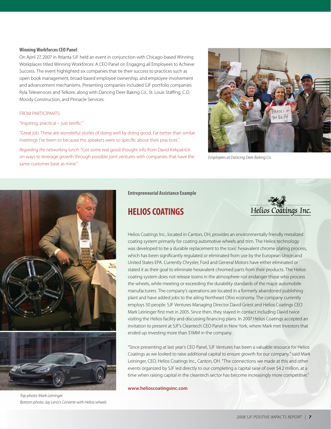#### **Winning Workforces CEO Panel**

On April 27, 2007 in Atlanta SJF held an event in conjunction with Chicago-based Winning Workplaces titled Winning Workforces: A CEO Panel on Engaging all Employees to Achieve Success. The event highlighted six companies that tie their success to practices such as open book management, broad-based employee ownership, and employee involvement and advancement mechanisms. Presenting companies included SJF portfolio companies Ryla Teleservices and Telkore, along with Dancing Deer Baking Co., St. Louis Staffing, C.D. Moody Construction, and Pinnacle Services.

#### From participants:

#### "Inspiring, practical – just terrific."

"Great job. These are wonderful stories of doing well by doing good. Far better than similar meetings I've been to because the speakers were so specific about their practices."

*Regarding the networking lunch:* "Got some real good thought info from David Kirkpatrick on ways to leverage growth through possible joint ventures with companies that have the same customer base as mine."



*Employees at Dancing Deer Baking Co.*



*Top photo: Mark Leininger Bottom photo: Jay Leno's Corvette with Helios wheels*

#### **Entrepreneurial Assistance Example**

## **Helios Coatings**



Helios Coatings Inc., located in Canton, OH, provides an environmentally friendly metalized coating system primarily for coating automotive wheels and trim. The Helios technology was developed to be a durable replacement to the toxic hexavalent chrome plating process, which has been significantly regulated or eliminated from use by the European Union and United States EPA. Currently Chrysler, Ford and General Motors have either eliminated or stated it as their goal to eliminate hexavalent chromed parts from their products. The Helios coating system does not release toxins in the atmosphere nor endanger those who process the wheels, while meeting or exceeding the durability standards of the major automobile manufacturers. The company's operations are located in a formerly abandoned publishing plant and have added jobs to the ailing Northeast Ohio economy. The company currently employs 50 people. SJF Ventures Managing Director David Griest and Helios Coatings CEO Mark Leininger first met in 2005. Since then, they stayed in contact including David twice visiting the Helios facility and discussing financing plans. In 2007 Helios Coatings accepted an invitation to present at SJF's Cleantech CEO Panel in New York, where Mark met investors that ended up investing more than \$1MM in the company.

"Since presenting at last year's CEO Panel, SJF Ventures has been a valuable resource for Helios Coatings as we looked to raise additional capital to ensure growth for our company," said Mark Leininger, CEO, Helios Coatings Inc., Canton, OH. "The connections we made at this and other events organized by SJF led directly to our completing a capital raise of over \$4.2 million, at a time when raising capital in the cleantech sector has become increasingly more competitive."

**www.helioscoatingsinc.com**